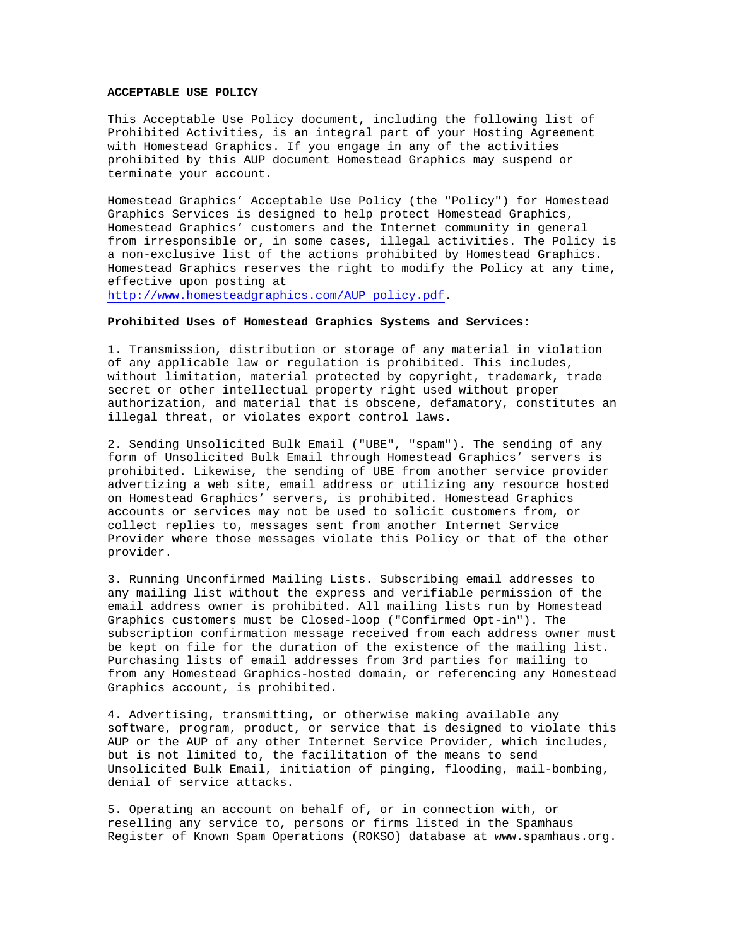## **ACCEPTABLE USE POLICY**

This Acceptable Use Policy document, including the following list of Prohibited Activities, is an integral part of your Hosting Agreement with Homestead Graphics. If you engage in any of the activities prohibited by this AUP document Homestead Graphics may suspend or terminate your account.

Homestead Graphics' Acceptable Use Policy (the "Policy") for Homestead Graphics Services is designed to help protect Homestead Graphics, Homestead Graphics' customers and the Internet community in general from irresponsible or, in some cases, illegal activities. The Policy is a non-exclusive list of the actions prohibited by Homestead Graphics. Homestead Graphics reserves the right to modify the Policy at any time, effective upon posting at

http://www.homesteadgraphics.com/AUP\_policy.pdf.

## **Prohibited Uses of Homestead Graphics Systems and Services:**

1. Transmission, distribution or storage of any material in violation of any applicable law or regulation is prohibited. This includes, without limitation, material protected by copyright, trademark, trade secret or other intellectual property right used without proper authorization, and material that is obscene, defamatory, constitutes an illegal threat, or violates export control laws.

2. Sending Unsolicited Bulk Email ("UBE", "spam"). The sending of any form of Unsolicited Bulk Email through Homestead Graphics' servers is prohibited. Likewise, the sending of UBE from another service provider advertizing a web site, email address or utilizing any resource hosted on Homestead Graphics' servers, is prohibited. Homestead Graphics accounts or services may not be used to solicit customers from, or collect replies to, messages sent from another Internet Service Provider where those messages violate this Policy or that of the other provider.

3. Running Unconfirmed Mailing Lists. Subscribing email addresses to any mailing list without the express and verifiable permission of the email address owner is prohibited. All mailing lists run by Homestead Graphics customers must be Closed-loop ("Confirmed Opt-in"). The subscription confirmation message received from each address owner must be kept on file for the duration of the existence of the mailing list. Purchasing lists of email addresses from 3rd parties for mailing to from any Homestead Graphics-hosted domain, or referencing any Homestead Graphics account, is prohibited.

4. Advertising, transmitting, or otherwise making available any software, program, product, or service that is designed to violate this AUP or the AUP of any other Internet Service Provider, which includes, but is not limited to, the facilitation of the means to send Unsolicited Bulk Email, initiation of pinging, flooding, mail-bombing, denial of service attacks.

5. Operating an account on behalf of, or in connection with, or reselling any service to, persons or firms listed in the Spamhaus Register of Known Spam Operations (ROKSO) database at www.spamhaus.org.